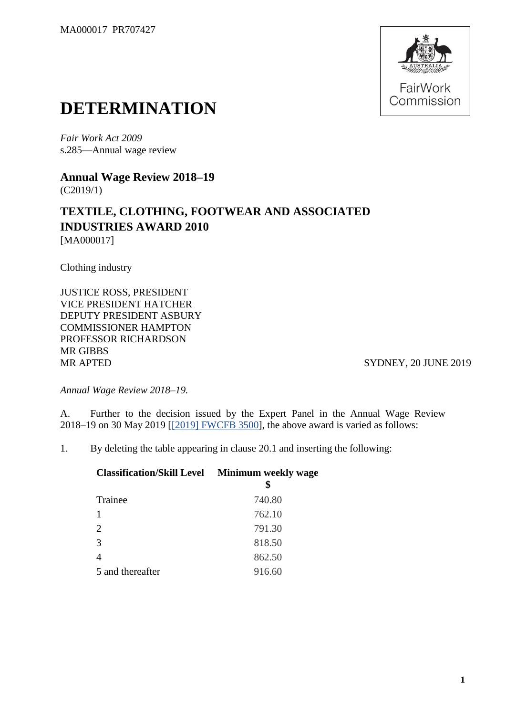

## **DETERMINATION**

*Fair Work Act 2009*  s.285—Annual wage review

**Annual Wage Review 2018–19** (C2019/1)

## **TEXTILE, CLOTHING, FOOTWEAR AND ASSOCIATED INDUSTRIES AWARD 2010** [MA000017]

Clothing industry

JUSTICE ROSS, PRESIDENT VICE PRESIDENT HATCHER DEPUTY PRESIDENT ASBURY COMMISSIONER HAMPTON PROFESSOR RICHARDSON MR GIBBS MR APTED SYDNEY, 20 JUNE 2019

*Annual Wage Review 2018–19.*

A. Further to the decision issued by the Expert Panel in the Annual Wage Review 2018–19 on 30 May 2019 [\[\[2019\] FWCFB 3500\]](https://www.fwc.gov.au/documents/decisionssigned/html/2019fwcfb3500.htm), the above award is varied as follows:

1. By deleting the table appearing in clause 20.1 and inserting the following:

| <b>Classification/Skill Level Minimum weekly wage</b> |
|-------------------------------------------------------|
| 740.80                                                |
| 762.10                                                |
| 791.30                                                |
| 818.50                                                |
| 862.50                                                |
| 916.60                                                |
|                                                       |